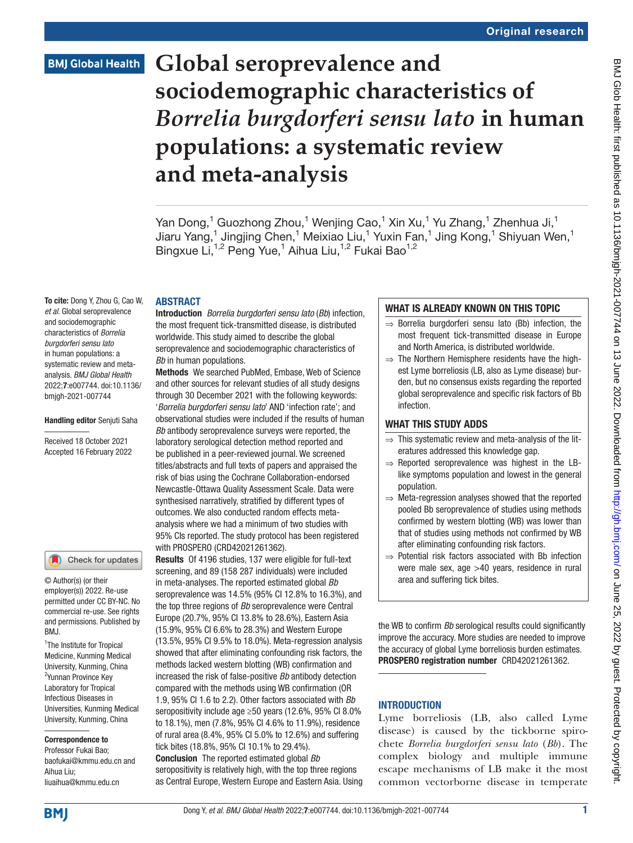# **Global seroprevalence and sociodemographic characteristics of**  *Borrelia burgdorferi sensu lato* **in human populations: a systematic review and meta-analysis**

Yan Dong,<sup>1</sup> Guozhong Zhou,<sup>1</sup> Wenjing Cao,<sup>1</sup> Xin Xu,<sup>1</sup> Yu Zhang,<sup>1</sup> Zhenhua Ji,<sup>1</sup> Jiaru Yang,<sup>1</sup> Jingjing Chen,<sup>1</sup> Meixiao Liu,<sup>1</sup> Yuxin Fan,<sup>1</sup> Jing Kong,<sup>1</sup> Shiyuan Wen,<sup>1</sup> Bingxue Li,<sup>1,2</sup> Peng Yue,<sup>1</sup> Aihua Liu,<sup>1,2</sup> Fukai Bao<sup>1,2</sup>

#### **ABSTRACT**

To cite: Dong Y, Zhou G, Cao W, *et al*. Global seroprevalence and sociodemographic characteristics of *Borrelia burgdorferi sensu lato* in human populations: a systematic review and metaanalysis. *BMJ Global Health* 2022;7:e007744. doi:10.1136/ bmjgh-2021-007744

#### Handling editor Senjuti Saha

Received 18 October 2021 Accepted 16 February 2022

#### Check for updates

© Author(s) (or their employer(s)) 2022. Re-use permitted under CC BY-NC. No commercial re-use. See rights and permissions. Published by RM<sub>J</sub>

<sup>1</sup>The Institute for Tropical Medicine, Kunming Medical University, Kunming, China <sup>2</sup>Yunnan Province Key Laboratory for Tropical Infectious Diseases in Universities, Kunming Medical University, Kunming, China

Correspondence to Professor Fukai Bao; baofukai@kmmu.edu.cn and Aihua Liu; liuaihua@kmmu.edu.cn

Introduction *Borrelia burgdorferi sensu lato* (*Bb*) infection, the most frequent tick-transmitted disease, is distributed worldwide. This study aimed to describe the global seroprevalence and sociodemographic characteristics of *Bb* in human populations.

Methods We searched PubMed, Embase, Web of Science and other sources for relevant studies of all study designs through 30 December 2021 with the following keywords: '*Borrelia burgdorferi sensu lato*' AND 'infection rate'; and observational studies were included if the results of human *Bb* antibody seroprevalence surveys were reported, the laboratory serological detection method reported and be published in a peer-reviewed journal. We screened titles/abstracts and full texts of papers and appraised the risk of bias using the Cochrane Collaboration-endorsed Newcastle-Ottawa Quality Assessment Scale. Data were synthesised narratively, stratified by different types of outcomes. We also conducted random effects metaanalysis where we had a minimum of two studies with 95% CIs reported. The study protocol has been registered with PROSPERO (CRD42021261362).

Results Of 4196 studies, 137 were eligible for full-text screening, and 89 (158 287 individuals) were included in meta-analyses. The reported estimated global *Bb* seroprevalence was 14.5% (95% CI 12.8% to 16.3%), and the top three regions of *Bb* seroprevalence were Central Europe (20.7%, 95% CI 13.8% to 28.6%), Eastern Asia (15.9%, 95% CI 6.6% to 28.3%) and Western Europe (13.5%, 95% CI 9.5% to 18.0%). Meta-regression analysis showed that after eliminating confounding risk factors, the methods lacked western blotting (WB) confirmation and increased the risk of false-positive *Bb* antibody detection compared with the methods using WB confirmation (OR 1.9, 95% CI 1.6 to 2.2). Other factors associated with *Bb* seropositivity include age ≥50 years (12.6%, 95% CI 8.0% to 18.1%), men (7.8%, 95% CI 4.6% to 11.9%), residence of rural area (8.4%, 95% CI 5.0% to 12.6%) and suffering tick bites (18.8%, 95% CI 10.1% to 29.4%). Conclusion The reported estimated global *Bb*

seropositivity is relatively high, with the top three regions as Central Europe, Western Europe and Eastern Asia. Using

#### WHAT IS ALREADY KNOWN ON THIS TOPIC

- ⇒ Borrelia burgdorferi sensu lato (Bb) infection, the most frequent tick-transmitted disease in Europe and North America, is distributed worldwide.
- $\Rightarrow$  The Northern Hemisphere residents have the highest Lyme borreliosis (LB, also as Lyme disease) burden, but no consensus exists regarding the reported global seroprevalence and specific risk factors of Bb infection.

#### WHAT THIS STUDY ADDS

- $\Rightarrow$  This systematic review and meta-analysis of the literatures addressed this knowledge gap.
- $\Rightarrow$  Reported seroprevalence was highest in the LBlike symptoms population and lowest in the general population.
- ⇒ Meta-regression analyses showed that the reported pooled Bb seroprevalence of studies using methods confirmed by western blotting (WB) was lower than that of studies using methods not confirmed by WB after eliminating confounding risk factors.
- ⇒ Potential risk factors associated with Bb infection were male sex, age >40 years, residence in rural area and suffering tick bites.

the WB to confirm *Bb* serological results could significantly improve the accuracy. More studies are needed to improve the accuracy of global Lyme borreliosis burden estimates. PROSPERO registration number CRD42021261362.

#### **INTRODUCTION**

Lyme borreliosis (LB, also called Lyme disease) is caused by the tickborne spirochete *Borrelia burgdorferi sensu lato* (*Bb*). The complex biology and multiple immune escape mechanisms of LB make it the most common vectorborne disease in temperate

**BMJ**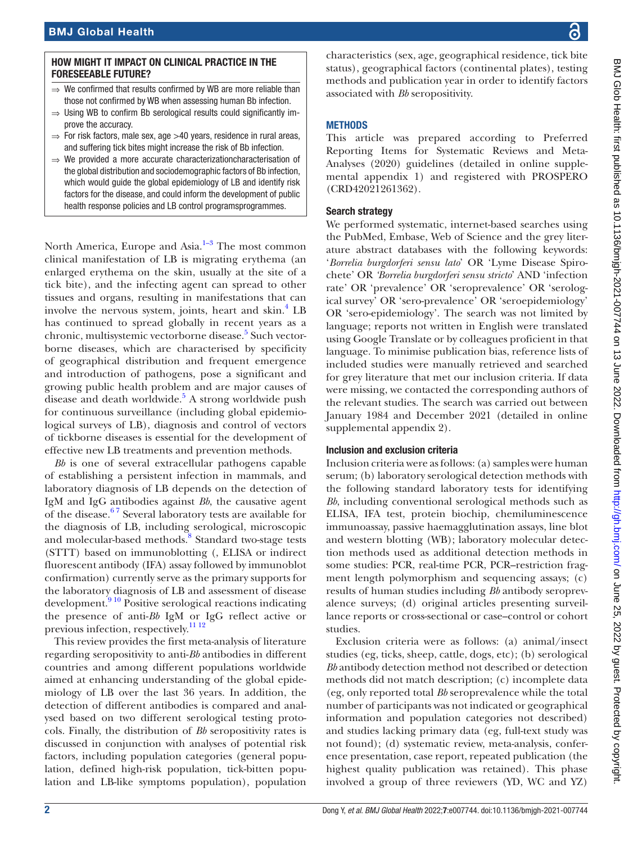#### HOW MIGHT IT IMPACT ON CLINICAL PRACTICE IN THE FORESEEABLE FUTURE?

- We confirmed that results confirmed by WB are more reliable than those not confirmed by WB when assessing human Bb infection.
- ⇒ Using WB to confirm Bb serological results could significantly improve the accuracy.
- $\Rightarrow$  For risk factors, male sex, age  $>$ 40 years, residence in rural areas, and suffering tick bites might increase the risk of Bb infection.
- ⇒ We provided a more accurate characterizationcharacterisation of the global distribution and sociodemographic factors of Bb infection, which would guide the global epidemiology of LB and identify risk factors for the disease, and could inform the development of public health response policies and LB control programsprogrammes.

North America, Europe and Asia. $1-3$  The most common clinical manifestation of LB is migrating erythema (an enlarged erythema on the skin, usually at the site of a tick bite), and the infecting agent can spread to other tissues and organs, resulting in manifestations that can involve the nervous system, joints, heart and skin.<sup>[4](#page-9-1)</sup> LB has continued to spread globally in recent years as a chronic, multisystemic vectorborne disease.<sup>[5](#page-9-2)</sup> Such vectorborne diseases, which are characterised by specificity of geographical distribution and frequent emergence and introduction of pathogens, pose a significant and growing public health problem and are major causes of disease and death worldwide.<sup>[5](#page-9-2)</sup> A strong worldwide push for continuous surveillance (including global epidemiological surveys of LB), diagnosis and control of vectors of tickborne diseases is essential for the development of effective new LB treatments and prevention methods.

*Bb* is one of several extracellular pathogens capable of establishing a persistent infection in mammals, and laboratory diagnosis of LB depends on the detection of IgM and IgG antibodies against *Bb*, the causative agent of the disease. $67$  Several laboratory tests are available for the diagnosis of LB, including serological, microscopic and molecular-based methods.<sup>[8](#page-9-4)</sup> Standard two-stage tests (STTT) based on immunoblotting (, ELISA or indirect fluorescent antibody (IFA) assay followed by immunoblot confirmation) currently serve as the primary supports for the laboratory diagnosis of LB and assessment of disease development.<sup>9 10</sup> Positive serological reactions indicating the presence of anti-*Bb* IgM or IgG reflect active or previous infection, respectively.[11 12](#page-9-6)

This review provides the first meta-analysis of literature regarding seropositivity to anti-*Bb* antibodies in different countries and among different populations worldwide aimed at enhancing understanding of the global epidemiology of LB over the last 36 years. In addition, the detection of different antibodies is compared and analysed based on two different serological testing protocols. Finally, the distribution of *Bb* seropositivity rates is discussed in conjunction with analyses of potential risk factors, including population categories (general population, defined high-risk population, tick-bitten population and LB-like symptoms population), population

characteristics (sex, age, geographical residence, tick bite status), geographical factors (continental plates), testing methods and publication year in order to identify factors associated with *Bb* seropositivity.

#### **METHODS**

This article was prepared according to Preferred Reporting Items for Systematic Reviews and Meta-Analyses (2020) guidelines (detailed in [online supple](https://dx.doi.org/10.1136/bmjgh-2021-007744)[mental appendix 1](https://dx.doi.org/10.1136/bmjgh-2021-007744)) and registered with PROSPERO (CRD42021261362).

#### Search strategy

We performed systematic, internet-based searches using the PubMed, Embase, Web of Science and the grey literature abstract databases with the following keywords: '*Borrelia burgdorferi sensu lato*' OR 'Lyme Disease Spirochete' OR *'Borrelia burgdorferi sensu stricto*' AND 'infection rate' OR 'prevalence' OR 'seroprevalence' OR 'serological survey' OR 'sero-prevalence' OR 'seroepidemiology' OR 'sero-epidemiology'. The search was not limited by language; reports not written in English were translated using Google Translate or by colleagues proficient in that language. To minimise publication bias, reference lists of included studies were manually retrieved and searched for grey literature that met our inclusion criteria. If data were missing, we contacted the corresponding authors of the relevant studies. The search was carried out between January 1984 and December 2021 (detailed in [online](https://dx.doi.org/10.1136/bmjgh-2021-007744) [supplemental appendix 2\)](https://dx.doi.org/10.1136/bmjgh-2021-007744).

#### Inclusion and exclusion criteria

Inclusion criteria were as follows: (a) samples were human serum; (b) laboratory serological detection methods with the following standard laboratory tests for identifying *Bb*, including conventional serological methods such as ELISA, IFA test, protein biochip, chemiluminescence immunoassay, passive haemagglutination assays, line blot and western blotting (WB); laboratory molecular detection methods used as additional detection methods in some studies: PCR, real-time PCR, PCR–restriction fragment length polymorphism and sequencing assays; (c) results of human studies including *Bb* antibody seroprevalence surveys; (d) original articles presenting surveillance reports or cross-sectional or case–control or cohort studies.

Exclusion criteria were as follows: (a) animal/insect studies (eg, ticks, sheep, cattle, dogs, etc); (b) serological *Bb* antibody detection method not described or detection methods did not match description; (c) incomplete data (eg, only reported total *Bb* seroprevalence while the total number of participants was not indicated or geographical information and population categories not described) and studies lacking primary data (eg, full-text study was not found); (d) systematic review, meta-analysis, conference presentation, case report, repeated publication (the highest quality publication was retained). This phase involved a group of three reviewers (YD, WC and YZ)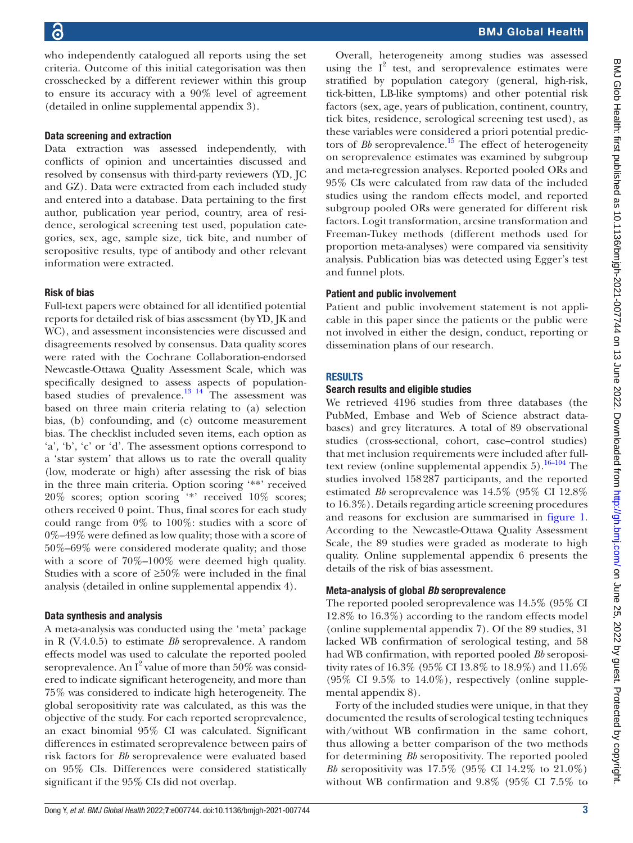who independently catalogued all reports using the set criteria. Outcome of this initial categorisation was then crosschecked by a different reviewer within this group to ensure its accuracy with a 90% level of agreement (detailed in [online supplemental appendix 3](https://dx.doi.org/10.1136/bmjgh-2021-007744)).

# Data screening and extraction

Data extraction was assessed independently, with conflicts of opinion and uncertainties discussed and resolved by consensus with third-party reviewers (YD, JC and GZ). Data were extracted from each included study and entered into a database. Data pertaining to the first author, publication year period, country, area of residence, serological screening test used, population categories, sex, age, sample size, tick bite, and number of seropositive results, type of antibody and other relevant information were extracted.

#### Risk of bias

Full-text papers were obtained for all identified potential reports for detailed risk of bias assessment (by YD, JK and WC), and assessment inconsistencies were discussed and disagreements resolved by consensus. Data quality scores were rated with the Cochrane Collaboration-endorsed Newcastle-Ottawa Quality Assessment Scale, which was specifically designed to assess aspects of populationbased studies of prevalence. $^{13}$  <sup>14</sup> The assessment was based on three main criteria relating to (a) selection bias, (b) confounding, and (c) outcome measurement bias. The checklist included seven items, each option as 'a', 'b', 'c' or 'd'. The assessment options correspond to a 'star system' that allows us to rate the overall quality (low, moderate or high) after assessing the risk of bias in the three main criteria. Option scoring '\*\*' received 20% scores; option scoring '\*' received 10% scores; others received 0 point. Thus, final scores for each study could range from 0% to 100%: studies with a score of 0%–49% were defined as low quality; those with a score of 50%–69% were considered moderate quality; and those with a score of 70%–100% were deemed high quality. Studies with a score of  $\geq 50\%$  were included in the final analysis (detailed in [online supplemental appendix 4](https://dx.doi.org/10.1136/bmjgh-2021-007744)).

## Data synthesis and analysis

A meta-analysis was conducted using the 'meta' package in R (V.4.0.5) to estimate *Bb* seroprevalence. A random effects model was used to calculate the reported pooled seroprevalence. An  $I^2$  value of more than  $50\%$  was considered to indicate significant heterogeneity, and more than 75% was considered to indicate high heterogeneity. The global seropositivity rate was calculated, as this was the objective of the study. For each reported seroprevalence, an exact binomial 95% CI was calculated. Significant differences in estimated seroprevalence between pairs of risk factors for *Bb* seroprevalence were evaluated based on 95% CIs. Differences were considered statistically significant if the 95% CIs did not overlap.

Overall, heterogeneity among studies was assessed using the  $I^2$  test, and seroprevalence estimates were stratified by population category (general, high-risk, tick-bitten, LB-like symptoms) and other potential risk factors (sex, age, years of publication, continent, country, tick bites, residence, serological screening test used), as these variables were considered a priori potential predictors of *Bb* seroprevalence.<sup>[15](#page-9-8)</sup> The effect of heterogeneity on seroprevalence estimates was examined by subgroup and meta-regression analyses. Reported pooled ORs and 95% CIs were calculated from raw data of the included studies using the random effects model, and reported subgroup pooled ORs were generated for different risk factors. Logit transformation, arcsine transformation and Freeman-Tukey methods (different methods used for proportion meta-analyses) were compared via sensitivity analysis. Publication bias was detected using Egger's test and funnel plots.

#### Patient and public involvement

Patient and public involvement statement is not applicable in this paper since the patients or the public were not involved in either the design, conduct, reporting or dissemination plans of our research.

#### **RESULTS**

#### Search results and eligible studies

We retrieved 4196 studies from three databases (the PubMed, Embase and Web of Science abstract databases) and grey literatures. A total of 89 observational studies (cross-sectional, cohort, case–control studies) that met inclusion requirements were included after fulltext review (online supplemental appendix  $5$ ).<sup>16–104</sup> The studies involved 158287 participants, and the reported estimated *Bb* seroprevalence was 14.5% (95% CI 12.8% to 16.3%). Details regarding article screening procedures and reasons for exclusion are summarised in [figure](#page-3-0) 1. According to the Newcastle-Ottawa Quality Assessment Scale, the 89 studies were graded as moderate to high quality. [Online supplemental appendix 6](https://dx.doi.org/10.1136/bmjgh-2021-007744) presents the details of the risk of bias assessment.

## Meta-analysis of global *Bb* seroprevalence

The reported pooled seroprevalence was 14.5% (95% CI 12.8% to 16.3%) according to the random effects model [\(online supplemental appendix 7](https://dx.doi.org/10.1136/bmjgh-2021-007744)). Of the 89 studies, 31 lacked WB confirmation of serological testing, and 58 had WB confirmation, with reported pooled *Bb* seropositivity rates of 16.3% (95% CI 13.8% to 18.9%) and 11.6% (95% CI 9.5% to 14.0%), respectively [\(online supple](https://dx.doi.org/10.1136/bmjgh-2021-007744)[mental appendix 8\)](https://dx.doi.org/10.1136/bmjgh-2021-007744).

Forty of the included studies were unique, in that they documented the results of serological testing techniques with/without WB confirmation in the same cohort, thus allowing a better comparison of the two methods for determining *Bb* seropositivity. The reported pooled *Bb* seropositivity was 17.5% (95% CI 14.2% to 21.0%) without WB confirmation and 9.8% (95% CI 7.5% to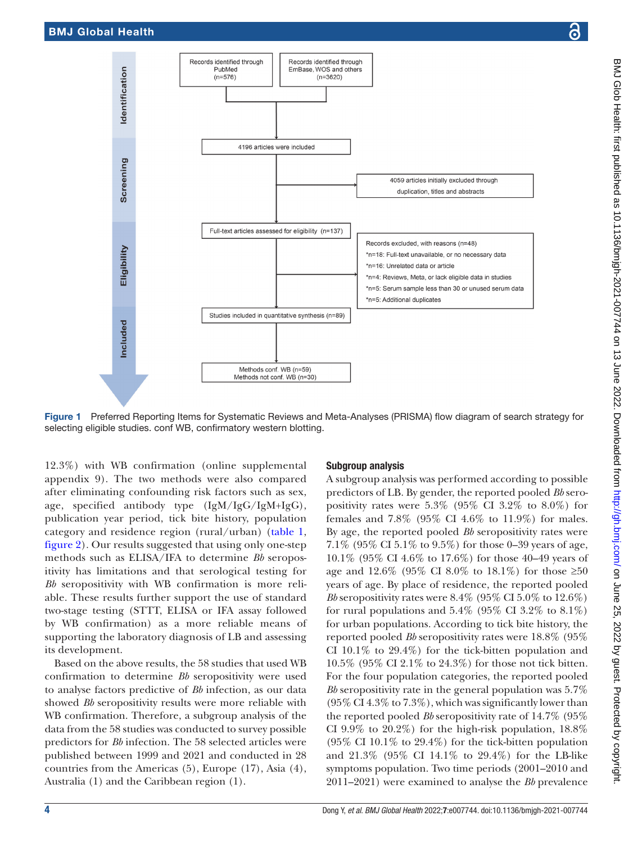

Records identified through

Records identified through

<span id="page-3-0"></span>Figure 1 Preferred Reporting Items for Systematic Reviews and Meta-Analyses (PRISMA) flow diagram of search strategy for selecting eligible studies. conf WB, confirmatory western blotting.

12.3%) with WB confirmation ([online supplemental](https://dx.doi.org/10.1136/bmjgh-2021-007744)  [appendix 9\)](https://dx.doi.org/10.1136/bmjgh-2021-007744). The two methods were also compared after eliminating confounding risk factors such as sex, age, specified antibody type (IgM/IgG/IgM+IgG), publication year period, tick bite history, population category and residence region (rural/urban) ([table](#page-4-0) 1, [figure](#page-5-0) 2). Our results suggested that using only one-step methods such as ELISA/IFA to determine *Bb* seropositivity has limitations and that serological testing for *Bb* seropositivity with WB confirmation is more reliable. These results further support the use of standard two-stage testing (STTT, ELISA or IFA assay followed by WB confirmation) as a more reliable means of supporting the laboratory diagnosis of LB and assessing its development.

Based on the above results, the 58 studies that used WB confirmation to determine *Bb* seropositivity were used to analyse factors predictive of *Bb* infection, as our data showed *Bb* seropositivity results were more reliable with WB confirmation. Therefore, a subgroup analysis of the data from the 58 studies was conducted to survey possible predictors for *Bb* infection. The 58 selected articles were published between 1999 and 2021 and conducted in 28 countries from the Americas (5), Europe (17), Asia (4), Australia (1) and the Caribbean region (1).

#### Subgroup analysis

A subgroup analysis was performed according to possible predictors of LB. By gender, the reported pooled *Bb* seropositivity rates were 5.3% (95% CI 3.2% to 8.0%) for females and 7.8% (95% CI 4.6% to 11.9%) for males. By age, the reported pooled *Bb* seropositivity rates were 7.1% (95% CI 5.1% to 9.5%) for those 0–39 years of age, 10.1% (95% CI 4.6% to 17.6%) for those 40–49 years of age and 12.6% (95% CI 8.0% to 18.1%) for those  $\geq 50$ years of age. By place of residence, the reported pooled *Bb* seropositivity rates were 8.4% (95% CI 5.0% to 12.6%) for rural populations and  $5.4\%$  (95% CI 3.2% to  $8.1\%$ ) for urban populations. According to tick bite history, the reported pooled *Bb* seropositivity rates were 18.8% (95% CI 10.1% to 29.4%) for the tick-bitten population and 10.5% (95% CI 2.1% to 24.3%) for those not tick bitten. For the four population categories, the reported pooled *Bb* seropositivity rate in the general population was 5.7% (95% CI 4.3% to 7.3%), which was significantly lower than the reported pooled *Bb* seropositivity rate of 14.7% (95% CI 9.9% to 20.2%) for the high-risk population, 18.8% (95% CI 10.1% to 29.4%) for the tick-bitten population and 21.3% (95% CI 14.1% to 29.4%) for the LB-like symptoms population. Two time periods (2001–2010 and 2011–2021) were examined to analyse the *Bb* prevalence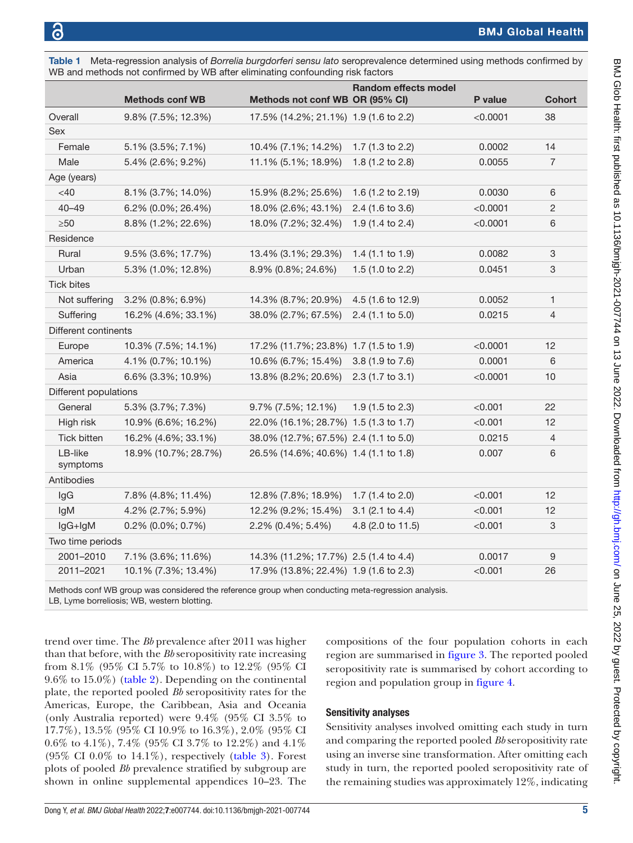|                       | WB and methods not confirmed by WB after eliminating confounding risk factors |                                       |                             |          |                           |
|-----------------------|-------------------------------------------------------------------------------|---------------------------------------|-----------------------------|----------|---------------------------|
|                       |                                                                               |                                       | Random effects model        |          |                           |
|                       | <b>Methods conf WB</b>                                                        | Methods not conf WB OR (95% CI)       |                             | P value  | <b>Cohort</b>             |
| Overall               | 9.8% (7.5%; 12.3%)                                                            | 17.5% (14.2%; 21.1%) 1.9 (1.6 to 2.2) |                             | < 0.0001 | 38                        |
| Sex                   |                                                                               |                                       |                             |          |                           |
| Female                | 5.1% (3.5%; 7.1%)                                                             | 10.4% (7.1%; 14.2%)                   | 1.7 (1.3 to 2.2)            | 0.0002   | 14                        |
| Male                  | 5.4% (2.6%; 9.2%)                                                             | 11.1% (5.1%; 18.9%)                   | 1.8 (1.2 to 2.8)            | 0.0055   | $\overline{7}$            |
| Age (years)           |                                                                               |                                       |                             |          |                           |
| $<$ 40 $\,$           | 8.1% (3.7%; 14.0%)                                                            | 15.9% (8.2%; 25.6%)                   | 1.6 (1.2 to 2.19)           | 0.0030   | 6                         |
| $40 - 49$             | 6.2% (0.0%; 26.4%)                                                            | 18.0% (2.6%; 43.1%)                   | 2.4 (1.6 to 3.6)            | < 0.0001 | $\overline{c}$            |
| $\geq 50$             | 8.8% (1.2%; 22.6%)                                                            | 18.0% (7.2%; 32.4%)                   | 1.9 $(1.4 \text{ to } 2.4)$ | < 0.0001 | 6                         |
| Residence             |                                                                               |                                       |                             |          |                           |
| Rural                 | 9.5% (3.6%; 17.7%)                                                            | 13.4% (3.1%; 29.3%)                   | 1.4 $(1.1$ to 1.9)          | 0.0082   | $\ensuremath{\mathsf{3}}$ |
| Urban                 | 5.3% (1.0%; 12.8%)                                                            | 8.9% (0.8%; 24.6%)                    | 1.5 $(1.0 to 2.2)$          | 0.0451   | 3                         |
| <b>Tick bites</b>     |                                                                               |                                       |                             |          |                           |
| Not suffering         | 3.2% (0.8%; 6.9%)                                                             | 14.3% (8.7%; 20.9%)                   | 4.5 (1.6 to 12.9)           | 0.0052   | 1                         |
| Suffering             | 16.2% (4.6%; 33.1%)                                                           | 38.0% (2.7%; 67.5%)                   | $2.4$ (1.1 to 5.0)          | 0.0215   | $\overline{4}$            |
| Different continents  |                                                                               |                                       |                             |          |                           |
| Europe                | 10.3% (7.5%; 14.1%)                                                           | 17.2% (11.7%; 23.8%) 1.7 (1.5 to 1.9) |                             | < 0.0001 | 12                        |
| America               | 4.1% (0.7%; 10.1%)                                                            | 10.6% (6.7%; 15.4%)                   | 3.8 (1.9 to 7.6)            | 0.0001   | 6                         |
| Asia                  | 6.6% (3.3%; 10.9%)                                                            | 13.8% (8.2%; 20.6%)                   | 2.3 (1.7 to 3.1)            | < 0.0001 | 10                        |
| Different populations |                                                                               |                                       |                             |          |                           |
| General               | 5.3% (3.7%; 7.3%)                                                             | 9.7% (7.5%; 12.1%)                    | $1.9(1.5 \text{ to } 2.3)$  | < 0.001  | 22                        |
| High risk             | 10.9% (6.6%; 16.2%)                                                           | 22.0% (16.1%; 28.7%) 1.5 (1.3 to 1.7) |                             | < 0.001  | 12                        |
| Tick bitten           | 16.2% (4.6%; 33.1%)                                                           | 38.0% (12.7%; 67.5%) 2.4 (1.1 to 5.0) |                             | 0.0215   | $\overline{4}$            |
| LB-like<br>symptoms   | 18.9% (10.7%; 28.7%)                                                          | 26.5% (14.6%; 40.6%) 1.4 (1.1 to 1.8) |                             | 0.007    | 6                         |
| Antibodies            |                                                                               |                                       |                             |          |                           |
| lgG                   | 7.8% (4.8%; 11.4%)                                                            | 12.8% (7.8%; 18.9%)                   | 1.7 (1.4 to 2.0)            | < 0.001  | 12                        |
| <b>IgM</b>            | 4.2% (2.7%; 5.9%)                                                             | 12.2% (9.2%; 15.4%)                   | $3.1$ (2.1 to 4.4)          | < 0.001  | 12                        |
| $lgG+lgM$             | $0.2\%$ (0.0%; 0.7%)                                                          | 2.2% (0.4%; 5.4%)                     | 4.8 (2.0 to 11.5)           | < 0.001  | 3                         |
| Two time periods      |                                                                               |                                       |                             |          |                           |
| 2001-2010             | 7.1% (3.6%; 11.6%)                                                            | 14.3% (11.2%; 17.7%) 2.5 (1.4 to 4.4) |                             | 0.0017   | 9                         |
| 2011-2021             | 10.1% (7.3%; 13.4%)                                                           | 17.9% (13.8%; 22.4%) 1.9 (1.6 to 2.3) |                             | < 0.001  | 26                        |
|                       |                                                                               |                                       |                             |          |                           |

<span id="page-4-0"></span>Table 1 Meta-regression analysis of *Borrelia burgdorferi sensu lato* seroprevalence determined using methods confirmed by WB and methods not confirmed by WB after eliminating confounding risk factors

Methods conf WB group was considered the reference group when conducting meta-regression analysis. LB, Lyme borreliosis; WB, western blotting.

trend over time. The *Bb* prevalence after 2011 was higher than that before, with the *Bb* seropositivity rate increasing from 8.1% (95% CI 5.7% to 10.8%) to 12.2% (95% CI 9.6% to 15.0%) ([table](#page-6-0) 2). Depending on the continental plate, the reported pooled *Bb* seropositivity rates for the Americas, Europe, the Caribbean, Asia and Oceania (only Australia reported) were 9.4% (95% CI 3.5% to 17.7%), 13.5% (95% CI 10.9% to 16.3%), 2.0% (95% CI 0.6% to 4.1%), 7.4% (95% CI 3.7% to 12.2%) and 4.1% (95% CI 0.0% to  $14.1\%$ ), respectively ([table](#page-7-0) 3). Forest plots of pooled *Bb* prevalence stratified by subgroup are shown in [online supplemental appendices 10–23.](https://dx.doi.org/10.1136/bmjgh-2021-007744) The

compositions of the four population cohorts in each region are summarised in [figure](#page-8-0) 3. The reported pooled seropositivity rate is summarised by cohort according to region and population group in [figure](#page-8-1) 4.

#### Sensitivity analyses

Sensitivity analyses involved omitting each study in turn and comparing the reported pooled *Bb* seropositivity rate using an inverse sine transformation. After omitting each study in turn, the reported pooled seropositivity rate of the remaining studies was approximately 12%, indicating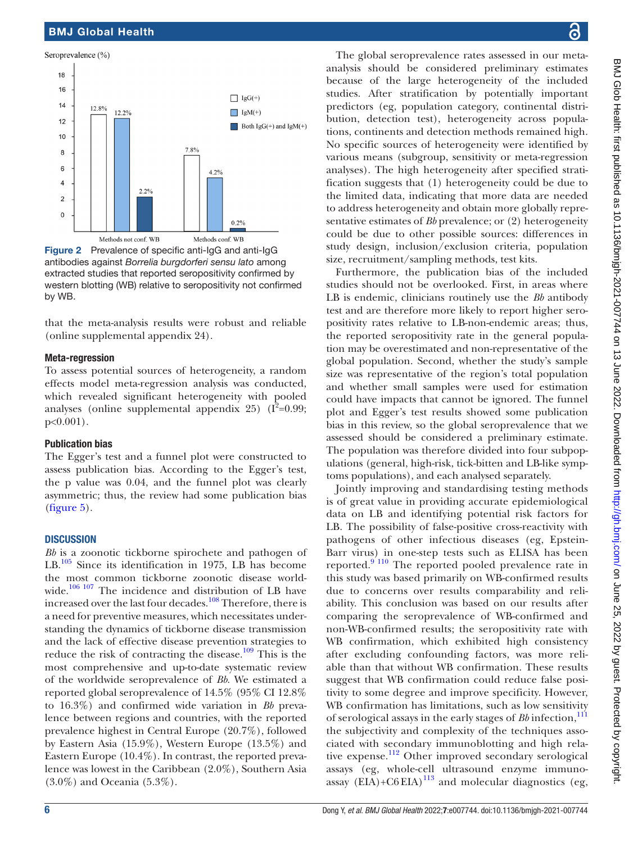#### Seroprevalence (%) 18 16  $\prod$  IgG(+)  $14$ 12.8%  $12.2%$  $\Box$  IgM(+)  $12$ Both  $\lg G(+)$  and  $\lg M(+)$  $10$  $7.8%$ 8 6  $4.2%$  $\overline{A}$  $2.2%$  $\overline{\mathbf{c}}$  $\Omega$  $0.2%$ Methods not conf. WB Methods conf. WB

<span id="page-5-0"></span>Figure 2 Prevalence of specific anti-IgG and anti-IgG antibodies against *Borrelia burgdorferi sensu lato* among extracted studies that reported seropositivity confirmed by western blotting (WB) relative to seropositivity not confirmed by WB.

that the meta-analysis results were robust and reliable ([online supplemental appendix 24](https://dx.doi.org/10.1136/bmjgh-2021-007744)).

#### Meta-regression

To assess potential sources of heterogeneity, a random effects model meta-regression analysis was conducted, which revealed significant heterogeneity with pooled analyses ([online supplemental appendix 25](https://dx.doi.org/10.1136/bmjgh-2021-007744))  $(I^2=0.99;$ p<0.001).

#### Publication bias

The Egger's test and a funnel plot were constructed to assess publication bias. According to the Egger's test, the p value was 0.04, and the funnel plot was clearly asymmetric; thus, the review had some publication bias ([figure](#page-8-2) 5).

#### **DISCUSSION**

*Bb* is a zoonotic tickborne spirochete and pathogen of LB.<sup>105</sup> Since its identification in 1975, LB has become the most common tickborne zoonotic disease world-wide.<sup>[106 107](#page-11-1)</sup> The incidence and distribution of LB have increased over the last four decades.<sup>[108](#page-11-2)</sup> Therefore, there is a need for preventive measures, which necessitates understanding the dynamics of tickborne disease transmission and the lack of effective disease prevention strategies to reduce the risk of contracting the disease.<sup>109</sup> This is the most comprehensive and up-to-date systematic review of the worldwide seroprevalence of *Bb*. We estimated a reported global seroprevalence of 14.5% (95% CI 12.8% to 16.3%) and confirmed wide variation in *Bb* prevalence between regions and countries, with the reported prevalence highest in Central Europe (20.7%), followed by Eastern Asia (15.9%), Western Europe (13.5%) and Eastern Europe (10.4%). In contrast, the reported prevalence was lowest in the Caribbean (2.0%), Southern Asia (3.0%) and Oceania (5.3%).

The global seroprevalence rates assessed in our metaanalysis should be considered preliminary estimates because of the large heterogeneity of the included studies. After stratification by potentially important predictors (eg, population category, continental distribution, detection test), heterogeneity across populations, continents and detection methods remained high. No specific sources of heterogeneity were identified by various means (subgroup, sensitivity or meta-regression analyses). The high heterogeneity after specified stratification suggests that (1) heterogeneity could be due to the limited data, indicating that more data are needed to address heterogeneity and obtain more globally representative estimates of *Bb* prevalence; or (2) heterogeneity could be due to other possible sources: differences in study design, inclusion/exclusion criteria, population size, recruitment/sampling methods, test kits.

Furthermore, the publication bias of the included studies should not be overlooked. First, in areas where LB is endemic, clinicians routinely use the *Bb* antibody test and are therefore more likely to report higher seropositivity rates relative to LB-non-endemic areas; thus, the reported seropositivity rate in the general population may be overestimated and non-representative of the global population. Second, whether the study's sample size was representative of the region's total population and whether small samples were used for estimation could have impacts that cannot be ignored. The funnel plot and Egger's test results showed some publication bias in this review, so the global seroprevalence that we assessed should be considered a preliminary estimate. The population was therefore divided into four subpopulations (general, high-risk, tick-bitten and LB-like symptoms populations), and each analysed separately.

Jointly improving and standardising testing methods is of great value in providing accurate epidemiological data on LB and identifying potential risk factors for LB. The possibility of false-positive cross-reactivity with pathogens of other infectious diseases (eg, Epstein-Barr virus) in one-step tests such as ELISA has been reported.[9 110](#page-9-5) The reported pooled prevalence rate in this study was based primarily on WB-confirmed results due to concerns over results comparability and reliability. This conclusion was based on our results after comparing the seroprevalence of WB-confirmed and non-WB-confirmed results; the seropositivity rate with WB confirmation, which exhibited high consistency after excluding confounding factors, was more reliable than that without WB confirmation. These results suggest that WB confirmation could reduce false positivity to some degree and improve specificity. However, WB confirmation has limitations, such as low sensitivity of serological assays in the early stages of *Bb* infection,<sup>[111](#page-11-4)</sup> the subjectivity and complexity of the techniques associated with secondary immunoblotting and high rela-tive expense.<sup>[112](#page-11-5)</sup> Other improved secondary serological assays (eg, whole-cell ultrasound enzyme immuno- $\frac{1}{2}$  (ex),  $\frac{1}{2}$  and  $\frac{1}{2}$  and molecular diagnostics (eg,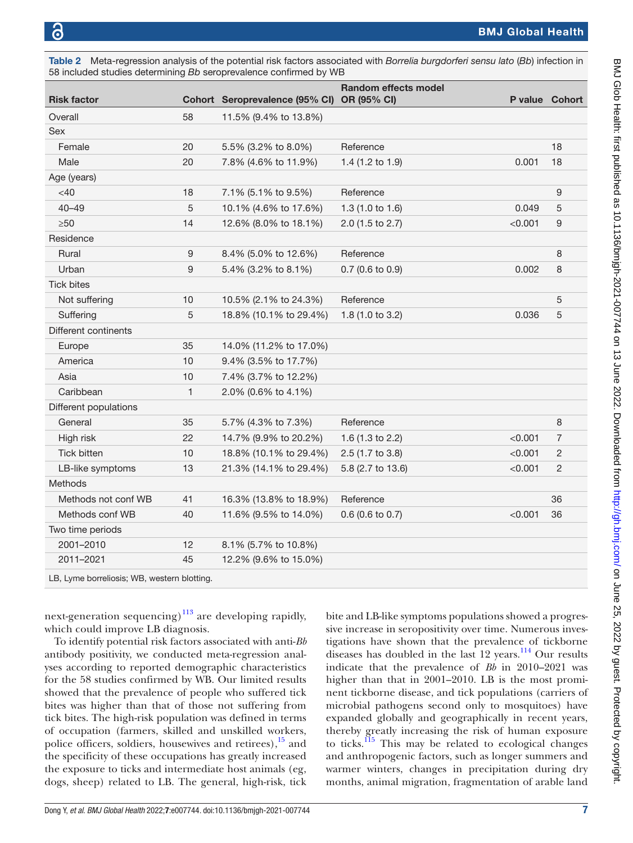Tick bites

Different continents

<span id="page-6-0"></span>

| Table 2<br>58 included studies determining Bb seroprevalence confirmed by WB |    |                                            | Meta-regression analysis of the potential risk factors associated with <i>Borrelia burgdorferi sensu lato</i> (Bb) infection in |                       |    |
|------------------------------------------------------------------------------|----|--------------------------------------------|---------------------------------------------------------------------------------------------------------------------------------|-----------------------|----|
| <b>Risk factor</b>                                                           |    | Cohort Seroprevalence (95% CI) OR (95% CI) | <b>Random effects model</b>                                                                                                     | <b>P</b> value Cohort |    |
| Overall                                                                      | 58 | 11.5% (9.4% to 13.8%)                      |                                                                                                                                 |                       |    |
| <b>Sex</b>                                                                   |    |                                            |                                                                                                                                 |                       |    |
| Female                                                                       | 20 | $5.5\%$ (3.2% to 8.0%)                     | Reference                                                                                                                       |                       | 18 |
| Male                                                                         | 20 | 7.8% (4.6% to 11.9%)                       | 1.4 $(1.2 \text{ to } 1.9)$                                                                                                     | 0.001                 | 18 |
| Age (years)                                                                  |    |                                            |                                                                                                                                 |                       |    |
| $<$ 40                                                                       | 18 | 7.1% (5.1% to 9.5%)                        | Reference                                                                                                                       |                       | 9  |
| $40 - 49$                                                                    | 5  | 10.1% (4.6% to 17.6%)                      | 1.3 $(1.0 to 1.6)$                                                                                                              | 0.049                 | 5  |
| $\geq 50$                                                                    | 14 | 12.6% (8.0% to 18.1%)                      | 2.0 (1.5 to 2.7)                                                                                                                | < 0.001               | 9  |
| Residence                                                                    |    |                                            |                                                                                                                                 |                       |    |

Rural 8 8.4% (5.0% to 12.6%) Reference 8 8.4% (5.0% to 12.6%) Urban 0.002 8 5.4% (3.2% to 8.1%) 0.7 (0.6 to 0.9) 0.002 8

Not suffering 10 10.5% (2.1% to 24.3%) Reference 5 Suffering 5 18.8% (10.1% to 29.4%) 1.8 (1.0 to 3.2) 0.036 5

| Asia                                        | 10 | 7.4% (3.7% to 12.2%)   |                            |         |    |
|---------------------------------------------|----|------------------------|----------------------------|---------|----|
| Caribbean                                   | 1. | 2.0% (0.6% to 4.1%)    |                            |         |    |
| Different populations                       |    |                        |                            |         |    |
| General                                     | 35 | 5.7% (4.3% to 7.3%)    | Reference                  |         | 8  |
| High risk                                   | 22 | 14.7% (9.9% to 20.2%)  | 1.6 (1.3 to 2.2)           | < 0.001 | 7  |
| <b>Tick bitten</b>                          | 10 | 18.8% (10.1% to 29.4%) | $2.5(1.7 \text{ to } 3.8)$ | < 0.001 | 2  |
| LB-like symptoms                            | 13 | 21.3% (14.1% to 29.4%) | 5.8 (2.7 to 13.6)          | < 0.001 | 2  |
| <b>Methods</b>                              |    |                        |                            |         |    |
| Methods not conf WB                         | 41 | 16.3% (13.8% to 18.9%) | Reference                  |         | 36 |
| Methods conf WB                             | 40 | 11.6% (9.5% to 14.0%)  | $0.6$ (0.6 to 0.7)         | < 0.001 | 36 |
| Two time periods                            |    |                        |                            |         |    |
| 2001-2010                                   | 12 | 8.1% (5.7% to 10.8%)   |                            |         |    |
| 2011-2021                                   | 45 | 12.2% (9.6% to 15.0%)  |                            |         |    |
| LB, Lyme borreliosis; WB, western blotting. |    |                        |                            |         |    |

next-generation sequencing) $113$  are developing rapidly, which could improve LB diagnosis.

Europe 35 14.0% (11.2% to 17.0%) America 10 9.4% (3.5% to 17.7%)

To identify potential risk factors associated with anti-*Bb* antibody positivity, we conducted meta-regression analyses according to reported demographic characteristics for the 58 studies confirmed by WB. Our limited results showed that the prevalence of people who suffered tick bites was higher than that of those not suffering from tick bites. The high-risk population was defined in terms of occupation (farmers, skilled and unskilled workers, police officers, soldiers, housewives and retirees), $\frac{15}{15}$  and the specificity of these occupations has greatly increased the exposure to ticks and intermediate host animals (eg, dogs, sheep) related to LB. The general, high-risk, tick

bite and LB-like symptoms populations showed a progressive increase in seropositivity over time. Numerous investigations have shown that the prevalence of tickborne diseases has doubled in the last 12 years.<sup>114</sup> Our results indicate that the prevalence of *Bb* in 2010–2021 was higher than that in 2001–2010. LB is the most prominent tickborne disease, and tick populations (carriers of microbial pathogens second only to mosquitoes) have expanded globally and geographically in recent years, thereby greatly increasing the risk of human exposure to ticks. $115$  This may be related to ecological changes and anthropogenic factors, such as longer summers and warmer winters, changes in precipitation during dry months, animal migration, fragmentation of arable land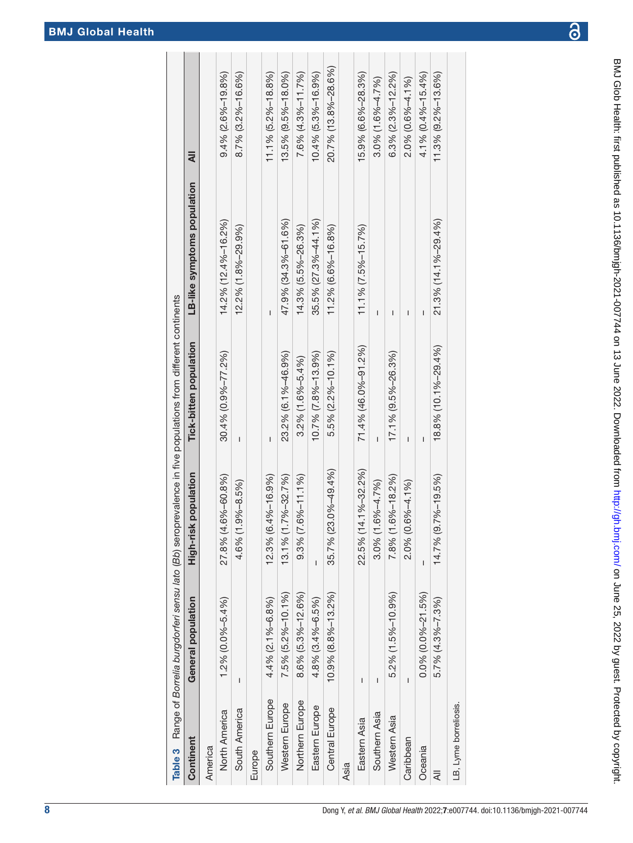BMJ Glob Health: first published as 10.1136/bmigh-2021-007744 on 13 June 2022. Downloaded from http://gh.bmj.com/ on June 25, 2022 by guest. Protected by copyright. BMJ Glob Health: first published as 10.1136/bmjgh-2021-00*774*4 on 13 June 2022. Downloaded from <http://gh.bmj.com/> on June 25, 2022 by guest. Protected by copyright

<span id="page-7-0"></span>

|                       |                             |                              | Table 3 Range of <i>Borrelia burgdorferi sensu lato (Bb</i> ) seroprevalence in five populations from different continents |                             |                          |
|-----------------------|-----------------------------|------------------------------|----------------------------------------------------------------------------------------------------------------------------|-----------------------------|--------------------------|
| Continent             | General population          | High-risk population         | Tick-bitten population                                                                                                     | LB-like symptoms population | ₹                        |
| America               |                             |                              |                                                                                                                            |                             |                          |
| North America         | 1.2% (0.0%-5.4%)            | $.6\% - 60.8\%$<br>27.8% (4. | 30.4% (0.9%-77.2%)                                                                                                         | 14.2% (12.4%–16.2%)         | $9.4\%$ (2.6%-19.8%)     |
| South America         | ı                           | $9\% - 8.5\%$<br>4.6% (1.    | I                                                                                                                          | 12.2% (1.8%-29.9%)          | $8.7\%$ (3.2%-16.6%)     |
| Europe                |                             |                              |                                                                                                                            |                             |                          |
| Southern Europe       | 4.4% (2.1%-6.8%)            | 12.3% (6.4%-16.9%)           | ı                                                                                                                          | ı                           | $11.1\%$ (5.2%-18.8%)    |
| Western Europe        | 7.5% (5.2%-10.1%)           | 13.1% (1.7%-32.7%)           | 23.2% (6.1%-46.9%)                                                                                                         | 47.9% (34.3%-61.6%)         | 13.5% (9.5%-18.0%)       |
| Northern Europe       | 8.6% (5.3%-12.6%)           | $6% - 11.1%$<br>$9.3%$ (7.   | $3.2\%$ (1.6%-5.4%)                                                                                                        | 14.3% (5.5%-26.3%)          | $7.6% (4.3% - 11.7%)$    |
| Eastern Europe        | 4.8% (3.4%-6.5%)            | I                            | 10.7% (7.8%-13.9%)                                                                                                         | 35.5% (27.3%-44.1%)         | 10.4% (5.3%-16.9%)       |
| Central Europe        | $10.9\%$ $(8.8\% - 13.2\%)$ | 35.7% (23.0%-49.4%)          | 5.5% (2.2%-10.1%)                                                                                                          | 11.2% (6.6%-16.8%)          | 20.7% (13.8%-28.6%)      |
| Asia                  |                             |                              |                                                                                                                            |                             |                          |
| Eastern Asia          | I                           | 22.5% (14.1%-32.2%)          | $71.4\%$ (46.0%-91.2%)                                                                                                     | $11.1\%$ (7.5%-15.7%)       | 15.9% (6.6%-28.3%)       |
| Southern Asia         | ı                           | 6%-4.7%)<br>$3.0\%$ (1.      | I                                                                                                                          | ı                           | $3.0\%$ (1.6% $-4.7\%$ ) |
| Western Asia          | 5.2% (1.5%-10.9%)           | 78% (1.6%-18.2%)             | 17.1% (9.5%-26.3%)                                                                                                         | ı                           | $6.3\%$ (2.3%-12.2%)     |
| Caribbean             | I                           | $6% -4.1%$<br>2.0% (0.       | ı                                                                                                                          | ı                           | 2.0% (0.6%-4.1%)         |
| Oceania               | $0.0\%$ (0.0%-21.5%)        |                              |                                                                                                                            | Ī                           | 4.1% (0.4%-15.4%)        |
| ₹                     | $5.7\%$ (4.3%-7.3%)         | 14.7% (9.7%-19.5%)           | 18.8% (10.1%-29.4%)                                                                                                        | 21 3% (14.1%-29.4%)         | $11.3\%$ (9.2%-13.6%)    |
| LB, Lyme borreliosis. |                             |                              |                                                                                                                            |                             |                          |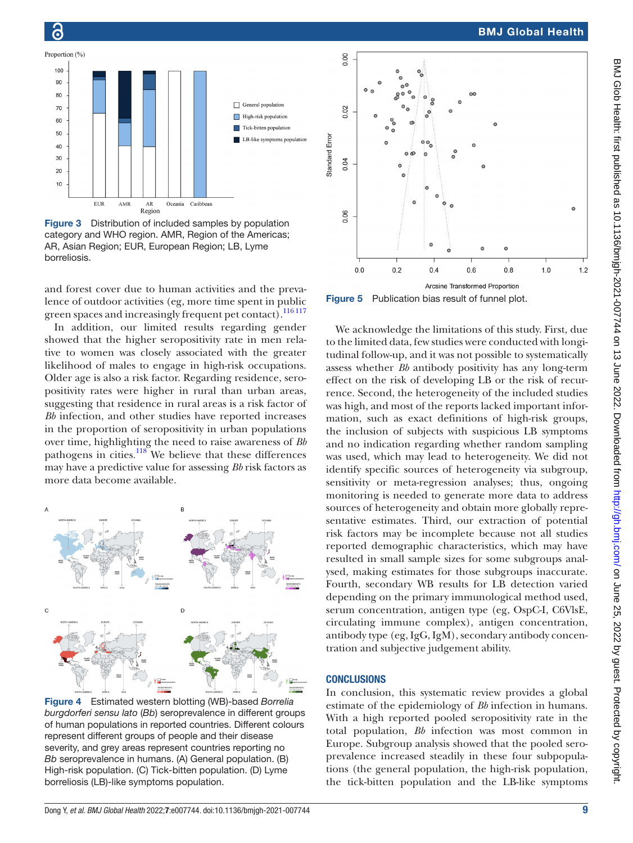



Õ

<span id="page-8-0"></span>Figure 3 Distribution of included samples by population category and WHO region. AMR, Region of the Americas; AR, Asian Region; EUR, European Region; LB, Lyme borreliosis.

and forest cover due to human activities and the prevalence of outdoor activities (eg, more time spent in public green spaces and increasingly frequent pet contact).<sup>116 117</sup>

In addition, our limited results regarding gender showed that the higher seropositivity rate in men relative to women was closely associated with the greater likelihood of males to engage in high-risk occupations. Older age is also a risk factor. Regarding residence, seropositivity rates were higher in rural than urban areas, suggesting that residence in rural areas is a risk factor of *Bb* infection, and other studies have reported increases in the proportion of seropositivity in urban populations over time, highlighting the need to raise awareness of *Bb* pathogens in cities.<sup>[118](#page-11-10)</sup> We believe that these differences may have a predictive value for assessing *Bb* risk factors as more data become available.



<span id="page-8-1"></span>Figure 4 Estimated western blotting (WB)-based *Borrelia burgdorferi sensu lato* (*Bb*) seroprevalence in different groups of human populations in reported countries. Different colours represent different groups of people and their disease severity, and grey areas represent countries reporting no *Bb* seroprevalence in humans. (A) General population. (B) High-risk population. (C) Tick-bitten population. (D) Lyme borreliosis (LB)-like symptoms population.



<span id="page-8-2"></span>Figure 5 Publication bias result of funnel plot.

We acknowledge the limitations of this study. First, due to the limited data, few studies were conducted with longitudinal follow-up, and it was not possible to systematically assess whether *Bb* antibody positivity has any long-term effect on the risk of developing LB or the risk of recurrence. Second, the heterogeneity of the included studies was high, and most of the reports lacked important information, such as exact definitions of high-risk groups, the inclusion of subjects with suspicious LB symptoms and no indication regarding whether random sampling was used, which may lead to heterogeneity. We did not identify specific sources of heterogeneity via subgroup, sensitivity or meta-regression analyses; thus, ongoing monitoring is needed to generate more data to address sources of heterogeneity and obtain more globally representative estimates. Third, our extraction of potential risk factors may be incomplete because not all studies reported demographic characteristics, which may have resulted in small sample sizes for some subgroups analysed, making estimates for those subgroups inaccurate. Fourth, secondary WB results for LB detection varied depending on the primary immunological method used, serum concentration, antigen type (eg, OspC-I, C6VlsE, circulating immune complex), antigen concentration, antibody type (eg, IgG, IgM), secondary antibody concentration and subjective judgement ability.

#### **CONCLUSIONS**

In conclusion, this systematic review provides a global estimate of the epidemiology of *Bb* infection in humans. With a high reported pooled seropositivity rate in the total population, *Bb* infection was most common in Europe. Subgroup analysis showed that the pooled seroprevalence increased steadily in these four subpopulations (the general population, the high-risk population, the tick-bitten population and the LB-like symptoms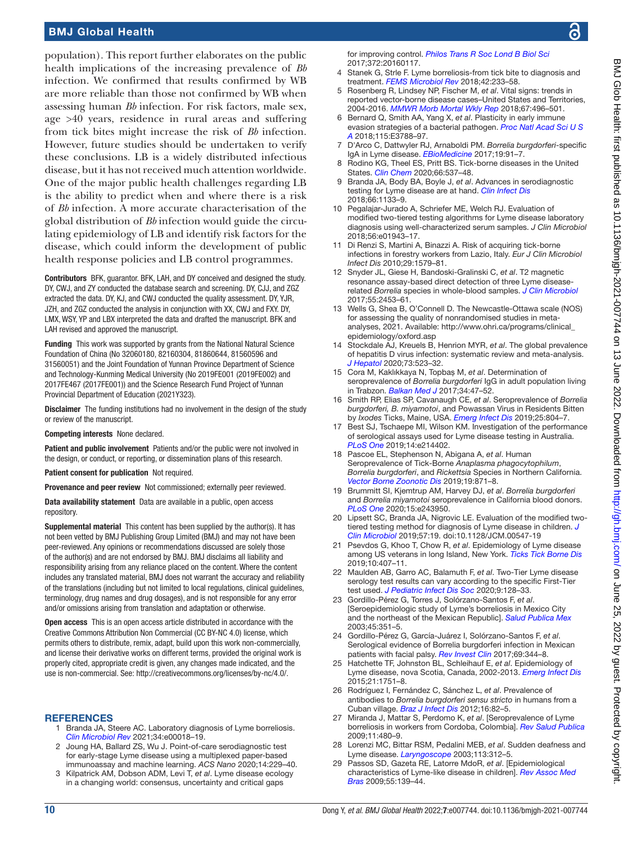population). This report further elaborates on the public health implications of the increasing prevalence of *Bb* infection. We confirmed that results confirmed by WB are more reliable than those not confirmed by WB when assessing human *Bb* infection. For risk factors, male sex, age >40 years, residence in rural areas and suffering from tick bites might increase the risk of *Bb* infection. However, future studies should be undertaken to verify these conclusions. LB is a widely distributed infectious disease, but it has not received much attention worldwide. One of the major public health challenges regarding LB is the ability to predict when and where there is a risk of *Bb* infection. A more accurate characterisation of the global distribution of *Bb* infection would guide the circulating epidemiology of LB and identify risk factors for the disease, which could inform the development of public health response policies and LB control programmes.

Contributors BFK, guarantor. BFK, LAH, and DY conceived and designed the study. DY, CWJ, and ZY conducted the database search and screening. DY, CJJ, and ZGZ extracted the data. DY, KJ, and CWJ conducted the quality assessment. DY, YJR, JZH, and ZGZ conducted the analysis in conjunction with XX, CWJ and FXY. DY, LMX, WSY, YP and LBX interpreted the data and drafted the manuscript. BFK and LAH revised and approved the manuscript.

Funding This work was supported by grants from the National Natural Science Foundation of China (No 32060180, 82160304, 81860644, 81560596 and 31560051) and the Joint Foundation of Yunnan Province Department of Science and Technology-Kunming Medical University (No 2019FE001 (2019FE002) and 2017FE467 (2017FE001)) and the Science Research Fund Project of Yunnan Provincial Department of Education (2021Y323).

Disclaimer The funding institutions had no involvement in the design of the study or review of the manuscript.

Competing interests None declared.

Patient and public involvement Patients and/or the public were not involved in the design, or conduct, or reporting, or dissemination plans of this research.

Patient consent for publication Not required.

Provenance and peer review Not commissioned; externally peer reviewed.

Data availability statement Data are available in a public, open access repository.

Supplemental material This content has been supplied by the author(s). It has not been vetted by BMJ Publishing Group Limited (BMJ) and may not have been peer-reviewed. Any opinions or recommendations discussed are solely those of the author(s) and are not endorsed by BMJ. BMJ disclaims all liability and responsibility arising from any reliance placed on the content. Where the content includes any translated material, BMJ does not warrant the accuracy and reliability of the translations (including but not limited to local regulations, clinical guidelines, terminology, drug names and drug dosages), and is not responsible for any error and/or omissions arising from translation and adaptation or otherwise.

Open access This is an open access article distributed in accordance with the Creative Commons Attribution Non Commercial (CC BY-NC 4.0) license, which permits others to distribute, remix, adapt, build upon this work non-commercially, and license their derivative works on different terms, provided the original work is properly cited, appropriate credit is given, any changes made indicated, and the use is non-commercial. See: [http://creativecommons.org/licenses/by-nc/4.0/.](http://creativecommons.org/licenses/by-nc/4.0/)

#### <span id="page-9-0"></span>**REFERENCES**

- 1 Branda JA, Steere AC. Laboratory diagnosis of Lyme borreliosis. *[Clin Microbiol Rev](http://dx.doi.org/10.1128/CMR.00018-19)* 2021;34:e00018–19.
- 2 Joung HA, Ballard ZS, Wu J. Point-of-care serodiagnostic test for early-stage Lyme disease using a multiplexed paper-based immunoassay and machine learning. *ACS Nano* 2020;14:229–40.
- 3 Kilpatrick AM, Dobson ADM, Levi T, *et al*. Lyme disease ecology in a changing world: consensus, uncertainty and critical gaps

for improving control. *[Philos Trans R Soc Lond B Biol Sci](http://dx.doi.org/10.1098/rstb.2016.0117)* 2017;372:20160117.

- <span id="page-9-1"></span>Stanek G, Strle F. Lyme borreliosis-from tick bite to diagnosis and treatment. *[FEMS Microbiol Rev](http://dx.doi.org/10.1093/femsre/fux047)* 2018;42:233–58.
- <span id="page-9-2"></span>5 Rosenberg R, Lindsey NP, Fischer M, *et al*. Vital signs: trends in reported vector-borne disease cases–United States and Territories, 2004-2016. *[MMWR Morb Mortal Wkly Rep](http://dx.doi.org/10.15585/mmwr.mm6717e1)* 2018;67:496–501.
- <span id="page-9-3"></span>6 Bernard Q, Smith AA, Yang X, *et al*. Plasticity in early immune evasion strategies of a bacterial pathogen. *[Proc Natl Acad Sci U S](http://dx.doi.org/10.1073/pnas.1718595115)  [A](http://dx.doi.org/10.1073/pnas.1718595115)* 2018;115:E3788–97.
- 7 D'Arco C, Dattwyler RJ, Arnaboldi PM. *Borrelia burgdorferi*-specific IgA in Lyme disease. *[EBioMedicine](http://dx.doi.org/10.1016/j.ebiom.2017.04.025)* 2017;19:91–7.
- <span id="page-9-4"></span>Rodino KG, Theel ES, Pritt BS. Tick-borne diseases in the United States. *[Clin Chem](http://dx.doi.org/10.1093/clinchem/hvaa040)* 2020;66:537–48.
- <span id="page-9-5"></span>9 Branda JA, Body BA, Boyle J, *et al*. Advances in serodiagnostic testing for Lyme disease are at hand. *[Clin Infect Dis](http://dx.doi.org/10.1093/cid/cix943)* 2018;66:1133–9.
- 10 Pegalajar-Jurado A, Schriefer ME, Welch RJ. Evaluation of modified two-tiered testing algorithms for Lyme disease laboratory diagnosis using well-characterized serum samples. *J Clin Microbiol* 2018;56:e01943–17.
- <span id="page-9-6"></span>11 Di Renzi S, Martini A, Binazzi A. Risk of acquiring tick-borne infections in forestry workers from Lazio, Italy. *Eur J Clin Microbiol Infect Dis* 2010;29:1579–81.
- 12 Snyder JL, Giese H, Bandoski-Gralinski C, *et al*. T2 magnetic resonance assay-based direct detection of three Lyme diseaserelated *Borrelia* species in whole-blood samples. *[J Clin Microbiol](http://dx.doi.org/10.1128/JCM.00510-17)* 2017;55:2453–61.
- <span id="page-9-7"></span>13 Wells G, Shea B, O'Connell D. The Newcastle-Ottawa scale (NOS) for assessing the quality of nonrandomised studies in metaanalyses, 2021. Available: [http://www.ohri.ca/programs/clinical\\_](http://www.ohri.ca/programs/clinical_epidemiology/oxford.asp) [epidemiology/oxford.asp](http://www.ohri.ca/programs/clinical_epidemiology/oxford.asp)
- 14 Stockdale AJ, Kreuels B, Henrion MYR, *et al*. The global prevalence of hepatitis D virus infection: systematic review and meta-analysis. *[J Hepatol](http://dx.doi.org/10.1016/j.jhep.2020.04.008)* 2020;73:523–32.
- <span id="page-9-8"></span>15 Cora M, Kaklıkkaya N, Topbaş M, *et al*. Determination of seroprevalence of *Borrelia burgdorferi* IgG in adult population living in Trabzon. *[Balkan Med J](http://dx.doi.org/10.4274/balkanmedj.2015.0478)* 2017;34:47–52.
- <span id="page-9-9"></span>16 Smith RP, Elias SP, Cavanaugh CE, *et al*. Seroprevalence of *Borrelia burgdorferi, B. miyamotoi*, and Powassan Virus in Residents Bitten by *Ixodes* Ticks, Maine, USA. *[Emerg Infect Dis](http://dx.doi.org/10.3201/eid2504.180202)* 2019;25:804–7.
- 17 Best SJ, Tschaepe MI, Wilson KM. Investigation of the performance of serological assays used for Lyme disease testing in Australia. *[PLoS One](http://dx.doi.org/10.1371/journal.pone.0214402)* 2019;14:e214402.
- 18 Pascoe EL, Stephenson N, Abigana A, *et al*. Human Seroprevalence of Tick-Borne *Anaplasma phagocytophilum*, *Borrelia burgdorferi*, and *Rickettsia* Species in Northern California. *[Vector Borne Zoonotic Dis](http://dx.doi.org/10.1089/vbz.2019.2489)* 2019;19:871–8.
- 19 Brummitt SI, Kjemtrup AM, Harvey DJ, *et al*. *Borrelia burgdorferi* and *Borrelia miyamotoi* seroprevalence in California blood donors. *[PLoS One](http://dx.doi.org/10.1371/journal.pone.0243950)* 2020;15:e243950.
- 20 Lipsett SC, Branda JA, Nigrovic LE. Evaluation of the modified twotiered testing method for diagnosis of Lyme disease in children. *[J](http://dx.doi.org/10.1128/JCM.00547-19)  [Clin Microbiol](http://dx.doi.org/10.1128/JCM.00547-19)* 2019;57:19. doi:10.1128/JCM.00547-19
- 21 Psevdos G, Khoo T, Chow R, *et al*. Epidemiology of Lyme disease among US veterans in long Island, New York. *[Ticks Tick Borne Dis](http://dx.doi.org/10.1016/j.ttbdis.2018.12.003)* 2019;10:407–11.
- 22 Maulden AB, Garro AC, Balamuth F, *et al*. Two-Tier Lyme disease serology test results can vary according to the specific First-Tier test used. *[J Pediatric Infect Dis Soc](http://dx.doi.org/10.1093/jpids/piy133)* 2020;9:128–33.
- 23 Gordillo-Pérez G, Torres J, Solórzano-Santos F, *et al*. [Seroepidemiologic study of Lyme's borreliosis in Mexico City and the northeast of the Mexican Republic]. *[Salud Publica Mex](http://www.ncbi.nlm.nih.gov/pubmed/14628614)* 2003;45:351–5.
- 24 Gordillo-Pérez G, García-Juárez I, Solórzano-Santos F, *et al*. Serological evidence of Borrelia burgdorferi infection in Mexican patients with facial palsy. *[Rev Invest Clin](http://dx.doi.org/10.24875/RIC.17002344)* 2017;69:344–8.
- 25 Hatchette TF, Johnston BL, Schleihauf E, *et al*. Epidemiology of Lyme disease, nova Scotia, Canada, 2002-2013. *[Emerg Infect Dis](http://dx.doi.org/10.3201/eid2110.141640)* 2015;21:1751–8.
- 26 Rodríguez I, Fernández C, Sánchez L, *et al*. Prevalence of antibodies to *Borrelia burgdorferi sensu stricto* in humans from a Cuban village. *[Braz J Infect Dis](http://dx.doi.org/10.1016/s1413-8670(12)70280-5)* 2012;16:82–5.
- 27 Miranda J, Mattar S, Perdomo K, *et al*. [Seroprevalence of Lyme borreliosis in workers from Cordoba, Colombia]. *[Rev Salud Publica](http://dx.doi.org/10.1590/s0124-00642009000300016)* 2009;11:480–9.
- 28 Lorenzi MC, Bittar RSM, Pedalini MEB, *et al*. Sudden deafness and Lyme disease. *[Laryngoscope](http://dx.doi.org/10.1097/00005537-200302000-00021)* 2003;113:312–5.
- 29 Passos SD, Gazeta RE, Latorre MdoR, *et al*. [Epidemiological characteristics of Lyme-like disease in children]. *[Rev Assoc Med](http://dx.doi.org/10.1590/s0104-42302009000200015)  [Bras](http://dx.doi.org/10.1590/s0104-42302009000200015)* 2009;55:139–44.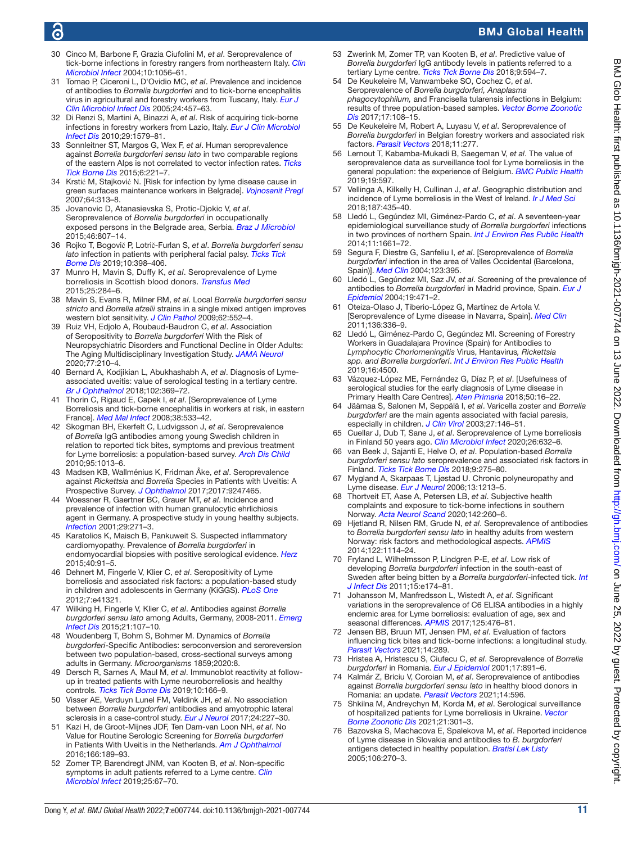# G

# BMJ Global Health

- 30 Cinco M, Barbone F, Grazia Ciufolini M, *et al*. Seroprevalence of tick-borne infections in forestry rangers from northeastern Italy. *[Clin](http://dx.doi.org/10.1111/j.1469-0691.2004.01026.x)  [Microbiol Infect](http://dx.doi.org/10.1111/j.1469-0691.2004.01026.x)* 2004;10:1056–61.
- 31 Tomao P, Ciceroni L, D'Ovidio MC, *et al*. Prevalence and incidence of antibodies to *Borrelia burgdorferi* and to tick-borne encephalitis virus in agricultural and forestry workers from Tuscany, Italy. *[Eur J](http://dx.doi.org/10.1007/s10096-005-1348-0)  [Clin Microbiol Infect Dis](http://dx.doi.org/10.1007/s10096-005-1348-0)* 2005;24:457–63.
- 32 Di Renzi S, Martini A, Binazzi A, *et al*. Risk of acquiring tick-borne infections in forestry workers from Lazio, Italy. *[Eur J Clin Microbiol](http://dx.doi.org/10.1007/s10096-010-1028-6)  [Infect Dis](http://dx.doi.org/10.1007/s10096-010-1028-6)* 2010;29:1579–81.
- 33 Sonnleitner ST, Margos G, Wex F, *et al*. Human seroprevalence against *Borrelia burgdorferi sensu lato* in two comparable regions of the eastern Alps is not correlated to vector infection rates. *[Ticks](http://dx.doi.org/10.1016/j.ttbdis.2014.12.006)  [Tick Borne Dis](http://dx.doi.org/10.1016/j.ttbdis.2014.12.006)* 2015;6:221–7.
- 34 Krstić M, Stajković N. [Risk for infection by lyme disease cause in green surfaces maintenance workers in Belgrade]. *[Vojnosanit Pregl](http://dx.doi.org/10.2298/vsp0705313k)* 2007;64:313–8.
- 35 Jovanovic D, Atanasievska S, Protic-Djokic V, *et al*. Seroprevalence of *Borrelia burgdorferi* in occupationally exposed persons in the Belgrade area, Serbia. *[Braz J Microbiol](http://dx.doi.org/10.1590/S1517-838246320140698)* 2015;46:807–14.
- 36 Rojko T, Bogovič P, Lotrič-Furlan S, *et al*. *Borrelia burgdorferi sensu lato* infection in patients with peripheral facial palsy. *[Ticks Tick](http://dx.doi.org/10.1016/j.ttbdis.2018.11.019)  [Borne Dis](http://dx.doi.org/10.1016/j.ttbdis.2018.11.019)* 2019;10:398–406.
- 37 Munro H, Mavin S, Duffy K, *et al*. Seroprevalence of Lyme borreliosis in Scottish blood donors. *[Transfus Med](http://dx.doi.org/10.1111/tme.12197)* 2015;25:284–6.
- 38 Mavin S, Evans R, Milner RM, *et al*. Local *Borrelia burgdorferi sensu stricto* and *Borrelia afzelii* strains in a single mixed antigen improves western blot sensitivity. *[J Clin Pathol](http://dx.doi.org/10.1136/jcp.2008.063461)* 2009;62:552–4.
- 39 Ruiz VH, Edjolo A, Roubaud-Baudron C, *et al*. Association of Seropositivity to *Borrelia burgdorferi* With the Risk of Neuropsychiatric Disorders and Functional Decline in Older Adults: The Aging Multidisciplinary Investigation Study. *[JAMA Neurol](http://dx.doi.org/10.1001/jamaneurol.2019.3292)* 2020;77:210–4.
- 40 Bernard A, Kodjikian L, Abukhashabh A, *et al*. Diagnosis of Lymeassociated uveitis: value of serological testing in a tertiary centre. *[Br J Ophthalmol](http://dx.doi.org/10.1136/bjophthalmol-2017-310251)* 2018;102:369–72.
- 41 Thorin C, Rigaud E, Capek I, *et al*. [Seroprevalence of Lyme Borreliosis and tick-borne encephalitis in workers at risk, in eastern France]. *[Med Mal Infect](http://dx.doi.org/10.1016/j.medmal.2008.06.008)* 2008;38:533–42.
- 42 Skogman BH, Ekerfelt C, Ludvigsson J, *et al*. Seroprevalence of *Borrelia* IgG antibodies among young Swedish children in relation to reported tick bites, symptoms and previous treatment for Lyme borreliosis: a population-based survey. *[Arch Dis Child](http://dx.doi.org/10.1136/adc.2010.183624)* 2010;95:1013–6.
- 43 Madsen KB, Wallménius K, Fridman Åke, *et al*. Seroprevalence against *Rickettsia* and *Borrelia* Species in Patients with Uveitis: A Prospective Survey. *[J Ophthalmol](http://dx.doi.org/10.1155/2017/9247465)* 2017;2017:9247465.
- 44 Woessner R, Gaertner BC, Grauer MT, *et al*. Incidence and prevalence of infection with human granulocytic ehrlichiosis agent in Germany. A prospective study in young healthy subjects. *[Infection](http://dx.doi.org/10.1007/s15010-001-2005-x)* 2001;29:271–3.
- 45 Karatolios K, Maisch B, Pankuweit S. Suspected inflammatory cardiomyopathy. Prevalence of *Borrelia burgdorferi* in endomyocardial biopsies with positive serological evidence. *[Herz](http://dx.doi.org/10.1007/s00059-014-4118-x)* 2015;40:91–5.
- 46 Dehnert M, Fingerle V, Klier C, *et al*. Seropositivity of Lyme borreliosis and associated risk factors: a population-based study in children and adolescents in Germany (KiGGS). *[PLoS One](http://dx.doi.org/10.1371/journal.pone.0041321)* 2012;7:e41321.
- 47 Wilking H, Fingerle V, Klier C, *et al*. Antibodies against *Borrelia burgdorferi sensu lato* among Adults, Germany, 2008-2011. *[Emerg](http://dx.doi.org/10.3201/eid2101.140009)  [Infect Dis](http://dx.doi.org/10.3201/eid2101.140009)* 2015;21:107–10.
- 48 Woudenberg T, Bohm S, Bohmer M. Dynamics of *Borrelia burgdorferi*-Specific Antibodies: seroconversion and seroreversion between two population-based, cross-sectional surveys among adults in Germany. *Microorganisms* 1859;2020:8.
- 49 Dersch R, Sarnes A, Maul M, *et al*. Immunoblot reactivity at followup in treated patients with Lyme neuroborreliosis and healthy controls. *[Ticks Tick Borne Dis](http://dx.doi.org/10.1016/j.ttbdis.2018.09.011)* 2019;10:166–9.
- 50 Visser AE, Verduyn Lunel FM, Veldink JH, *et al*. No association between *Borrelia burgdorferi* antibodies and amyotrophic lateral sclerosis in a case-control study. *[Eur J Neurol](http://dx.doi.org/10.1111/ene.13197)* 2017;24:227–30.
- 51 Kazi H, de Groot-Mijnes JDF, Ten Dam-van Loon NH, *et al*. No Value for Routine Serologic Screening for *Borrelia burgdorferi* in Patients With Uveitis in the Netherlands. *[Am J Ophthalmol](http://dx.doi.org/10.1016/j.ajo.2016.04.002)* 2016;166:189–93.
- 52 Zomer TP, Barendregt JNM, van Kooten B, *et al*. Non-specific symptoms in adult patients referred to a Lyme centre. *[Clin](http://dx.doi.org/10.1016/j.cmi.2018.09.016)  [Microbiol Infect](http://dx.doi.org/10.1016/j.cmi.2018.09.016)* 2019;25:67–70.
- 53 Zwerink M, Zomer TP, van Kooten B, *et al*. Predictive value of *Borrelia burgdorferi* IgG antibody levels in patients referred to a tertiary Lyme centre. *[Ticks Tick Borne Dis](http://dx.doi.org/10.1016/j.ttbdis.2017.12.014)* 2018;9:594–7.
- 54 De Keukeleire M, Vanwambeke SO, Cochez C, *et al*. Seroprevalence of *Borrelia burgdorferi, Anaplasma phagocytophilum,* and Francisella tularensis infections in Belgium: results of three population-based samples. *[Vector Borne Zoonotic](http://dx.doi.org/10.1089/vbz.2016.1954)  [Dis](http://dx.doi.org/10.1089/vbz.2016.1954)* 2017;17:108–15.
- 55 De Keukeleire M, Robert A, Luyasu V, *et al*. Seroprevalence of *Borrelia burgdorferi* in Belgian forestry workers and associated risk factors. *[Parasit Vectors](http://dx.doi.org/10.1186/s13071-018-2860-2)* 2018;11:277.
- 56 Lernout T, Kabamba-Mukadi B, Saegeman V, *et al*. The value of seroprevalence data as surveillance tool for Lyme borreliosis in the general population: the experience of Belgium. *[BMC Public Health](http://dx.doi.org/10.1186/s12889-019-6914-y)* 2019;19:597.
- 57 Vellinga A, Kilkelly H, Cullinan J, *et al*. Geographic distribution and incidence of Lyme borreliosis in the West of Ireland. *[Ir J Med Sci](http://dx.doi.org/10.1007/s11845-017-1700-2)* 2018;187:435–40.
- 58 Lledó L, Gegúndez MI, Giménez-Pardo C, *et al*. A seventeen-year epidemiological surveillance study of *Borrelia burgdorferi* infections in two provinces of northern Spain. *[Int J Environ Res Public Health](http://dx.doi.org/10.3390/ijerph110201661)* 2014;11:1661–72.
- 59 Segura F, Diestre G, Sanfeliu I, *et al*. [Seroprevalence of *Borrelia burgdorferi* infection in the area of Valles Occidental (Barcelona, Spain)]. *[Med Clin](http://dx.doi.org/10.1016/s0025-7753(04)74527-3)* 2004;123:395.
- 60 Lledó L, Gegúndez MI, Saz JV, *et al*. Screening of the prevalence of antibodies to *Borrelia burgdorferi* in Madrid province, Spain. *[Eur J](http://dx.doi.org/10.1023/b:ejep.0000027349.48337.cb)  [Epidemiol](http://dx.doi.org/10.1023/b:ejep.0000027349.48337.cb)* 2004;19:471–2.
- 61 Oteiza-Olaso J, Tiberio-López G, Martínez de Artola V. [Seroprevalence of Lyme disease in Navarra, Spain]. *[Med Clin](http://dx.doi.org/10.1016/j.medcli.2010.06.008)* 2011;136:336–9.
- 62 Lledó L, Giménez-Pardo C, Gegúndez MI. Screening of Forestry Workers in Guadalajara Province (Spain) for Antibodies to *Lymphocytic Choriomeningitis* Virus, Hantavirus*, Rickettsia spp. and Borrelia burgdorferi*. *[Int J Environ Res Public Health](http://dx.doi.org/10.3390/ijerph16224500)* 2019;16:4500.
- 63 Vázquez-López ME, Fernández G, Díaz P, *et al*. [Usefulness of serological studies for the early diagnosis of Lyme disease in Primary Health Care Centres]. *[Aten Primaria](http://dx.doi.org/10.1016/j.aprim.2017.01.008)* 2018;50:16–22.
- 64 Jäämaa S, Salonen M, Seppälä I, *et al*. Varicella zoster and *Borrelia burgdorferi* are the main agents associated with facial paresis, especially in children. *[J Clin Virol](http://dx.doi.org/10.1016/s1386-6532(02)00169-5)* 2003;27:146–51.
- 65 Cuellar J, Dub T, Sane J, *et al*. Seroprevalence of Lyme borreliosis in Finland 50 years ago. *[Clin Microbiol Infect](http://dx.doi.org/10.1016/j.cmi.2019.10.003)* 2020;26:632–6.
- 66 van Beek J, Sajanti E, Helve O, *et al*. Population-based *Borrelia burgdorferi sensu lato* seroprevalence and associated risk factors in Finland. *[Ticks Tick Borne Dis](http://dx.doi.org/10.1016/j.ttbdis.2017.10.018)* 2018;9:275–80.
- 67 Mygland A, Skarpaas T, Ljøstad U. Chronic polyneuropathy and Lyme disease. *[Eur J Neurol](http://dx.doi.org/10.1111/j.1468-1331.2006.01395.x)* 2006;13:1213–5.
- 68 Thortveit ET, Aase A, Petersen LB, *et al*. Subjective health complaints and exposure to tick-borne infections in southern Norway. *[Acta Neurol Scand](http://dx.doi.org/10.1111/ane.13263)* 2020;142:260–6.
- 69 Hjetland R, Nilsen RM, Grude N, *et al*. Seroprevalence of antibodies to *Borrelia burgdorferi sensu lato* in healthy adults from western Norway: risk factors and methodological aspects. *[APMIS](http://dx.doi.org/10.1111/apm.12267)* 2014;122:1114–24.
- 70 Fryland L, Wilhelmsson P, Lindgren P-E, *et al*. Low risk of developing *Borrelia burgdorferi* infection in the south-east of Sweden after being bitten by a *Borrelia burgdorferi*-infected tick. *[Int](http://dx.doi.org/10.1016/j.ijid.2010.10.006) [J Infect Dis](http://dx.doi.org/10.1016/j.ijid.2010.10.006)* 2011;15:e174–81.
- 71 Johansson M, Manfredsson L, Wistedt A, *et al*. Significant variations in the seroprevalence of C6 ELISA antibodies in a highly endemic area for Lyme borreliosis: evaluation of age, sex and seasonal differences. *[APMIS](http://dx.doi.org/10.1111/apm.12664)* 2017;125:476–81.
- 72 Jensen BB, Bruun MT, Jensen PM, *et al*. Evaluation of factors influencing tick bites and tick-borne infections: a longitudinal study. *[Parasit Vectors](http://dx.doi.org/10.1186/s13071-021-04751-0)* 2021;14:289.
- 73 Hristea A, Hristescu S, Ciufecu C, *et al*. Seroprevalence of *Borrelia burgdorferi* in Romania. *[Eur J Epidemiol](http://dx.doi.org/10.1023/a:1015600729900)* 2001;17:891–6.
- 74 Kalmár Z, Briciu V, Coroian M, *et al*. Seroprevalence of antibodies against *Borrelia burgdorferi sensu lato* in healthy blood donors in Romania: an update. *[Parasit Vectors](http://dx.doi.org/10.1186/s13071-021-05099-1)* 2021;14:596.
- 75 Shkilna M, Andreychyn M, Korda M, *et al*. Serological surveillance of hospitalized patients for Lyme borreliosis in Ukraine. *[Vector](http://dx.doi.org/10.1089/vbz.2020.2715)  [Borne Zoonotic Dis](http://dx.doi.org/10.1089/vbz.2020.2715)* 2021;21:301–3.
- 76 Bazovska S, Machacova E, Spalekova M, *et al*. Reported incidence of Lyme disease in Slovakia and antibodies to *B. burgdorferi* antigens detected in healthy population. *[Bratisl Lek Listy](http://www.ncbi.nlm.nih.gov/pubmed/16457044)* 2005;106:270–3.